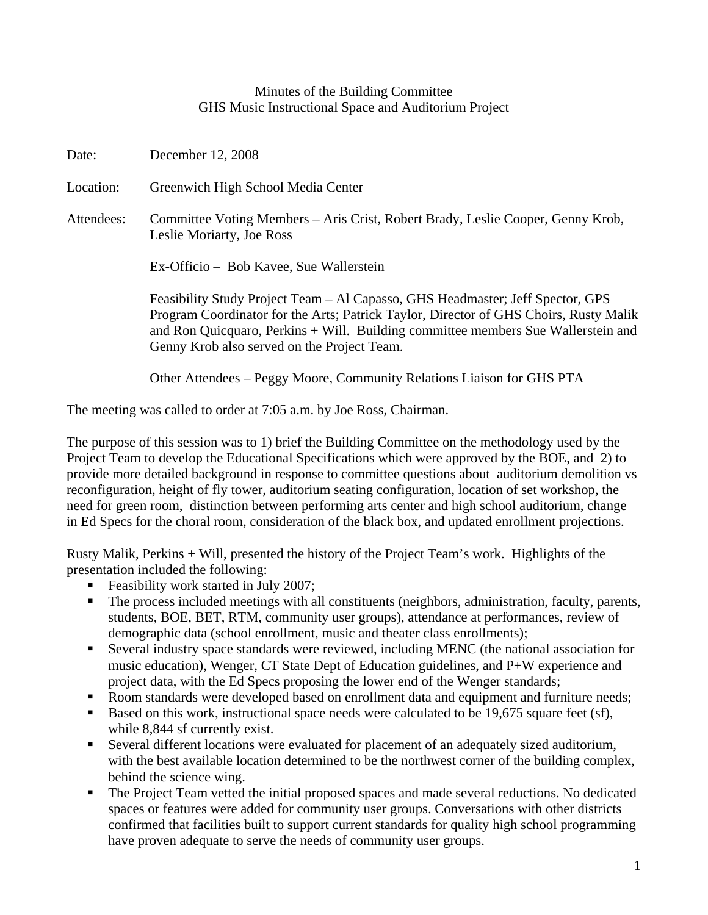## Minutes of the Building Committee GHS Music Instructional Space and Auditorium Project

Date: December 12, 2008 Location: Greenwich High School Media Center Attendees: Committee Voting Members – Aris Crist, Robert Brady, Leslie Cooper, Genny Krob, Leslie Moriarty, Joe Ross Ex-Officio – Bob Kavee, Sue Wallerstein Feasibility Study Project Team – Al Capasso, GHS Headmaster; Jeff Spector, GPS Program Coordinator for the Arts; Patrick Taylor, Director of GHS Choirs, Rusty Malik and Ron Quicquaro, Perkins + Will. Building committee members Sue Wallerstein and Genny Krob also served on the Project Team. Other Attendees – Peggy Moore, Community Relations Liaison for GHS PTA

The meeting was called to order at 7:05 a.m. by Joe Ross, Chairman.

The purpose of this session was to 1) brief the Building Committee on the methodology used by the Project Team to develop the Educational Specifications which were approved by the BOE, and 2) to provide more detailed background in response to committee questions about auditorium demolition vs reconfiguration, height of fly tower, auditorium seating configuration, location of set workshop, the need for green room, distinction between performing arts center and high school auditorium, change in Ed Specs for the choral room, consideration of the black box, and updated enrollment projections.

Rusty Malik, Perkins + Will, presented the history of the Project Team's work. Highlights of the presentation included the following:

- Feasibility work started in July 2007;
- The process included meetings with all constituents (neighbors, administration, faculty, parents, students, BOE, BET, RTM, community user groups), attendance at performances, review of demographic data (school enrollment, music and theater class enrollments);
- Several industry space standards were reviewed, including MENC (the national association for music education), Wenger, CT State Dept of Education guidelines, and P+W experience and project data, with the Ed Specs proposing the lower end of the Wenger standards;
- Room standards were developed based on enrollment data and equipment and furniture needs;
- Based on this work, instructional space needs were calculated to be 19,675 square feet (sf), while 8,844 sf currently exist.
- Several different locations were evaluated for placement of an adequately sized auditorium, with the best available location determined to be the northwest corner of the building complex, behind the science wing.
- The Project Team vetted the initial proposed spaces and made several reductions. No dedicated spaces or features were added for community user groups. Conversations with other districts confirmed that facilities built to support current standards for quality high school programming have proven adequate to serve the needs of community user groups.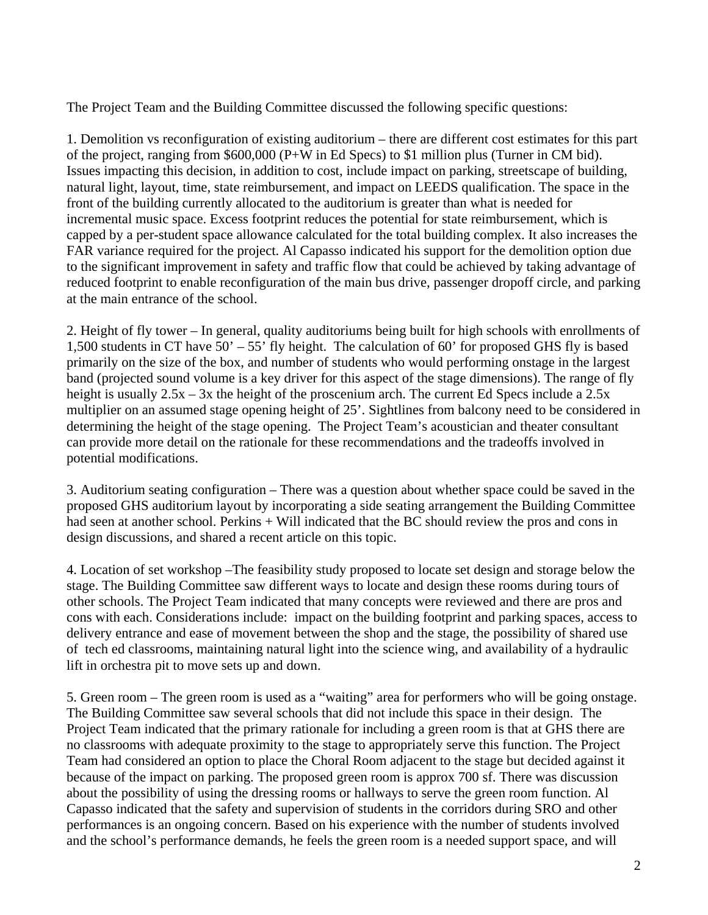The Project Team and the Building Committee discussed the following specific questions:

1. Demolition vs reconfiguration of existing auditorium – there are different cost estimates for this part of the project, ranging from \$600,000 (P+W in Ed Specs) to \$1 million plus (Turner in CM bid). Issues impacting this decision, in addition to cost, include impact on parking, streetscape of building, natural light, layout, time, state reimbursement, and impact on LEEDS qualification. The space in the front of the building currently allocated to the auditorium is greater than what is needed for incremental music space. Excess footprint reduces the potential for state reimbursement, which is capped by a per-student space allowance calculated for the total building complex. It also increases the FAR variance required for the project. Al Capasso indicated his support for the demolition option due to the significant improvement in safety and traffic flow that could be achieved by taking advantage of reduced footprint to enable reconfiguration of the main bus drive, passenger dropoff circle, and parking at the main entrance of the school.

2. Height of fly tower – In general, quality auditoriums being built for high schools with enrollments of 1,500 students in CT have 50' – 55' fly height. The calculation of 60' for proposed GHS fly is based primarily on the size of the box, and number of students who would performing onstage in the largest band (projected sound volume is a key driver for this aspect of the stage dimensions). The range of fly height is usually  $2.5x - 3x$  the height of the proscenium arch. The current Ed Specs include a 2.5x multiplier on an assumed stage opening height of 25'. Sightlines from balcony need to be considered in determining the height of the stage opening. The Project Team's acoustician and theater consultant can provide more detail on the rationale for these recommendations and the tradeoffs involved in potential modifications.

3. Auditorium seating configuration – There was a question about whether space could be saved in the proposed GHS auditorium layout by incorporating a side seating arrangement the Building Committee had seen at another school. Perkins + Will indicated that the BC should review the pros and cons in design discussions, and shared a recent article on this topic.

4. Location of set workshop –The feasibility study proposed to locate set design and storage below the stage. The Building Committee saw different ways to locate and design these rooms during tours of other schools. The Project Team indicated that many concepts were reviewed and there are pros and cons with each. Considerations include: impact on the building footprint and parking spaces, access to delivery entrance and ease of movement between the shop and the stage, the possibility of shared use of tech ed classrooms, maintaining natural light into the science wing, and availability of a hydraulic lift in orchestra pit to move sets up and down.

5. Green room – The green room is used as a "waiting" area for performers who will be going onstage. The Building Committee saw several schools that did not include this space in their design. The Project Team indicated that the primary rationale for including a green room is that at GHS there are no classrooms with adequate proximity to the stage to appropriately serve this function. The Project Team had considered an option to place the Choral Room adjacent to the stage but decided against it because of the impact on parking. The proposed green room is approx 700 sf. There was discussion about the possibility of using the dressing rooms or hallways to serve the green room function. Al Capasso indicated that the safety and supervision of students in the corridors during SRO and other performances is an ongoing concern. Based on his experience with the number of students involved and the school's performance demands, he feels the green room is a needed support space, and will